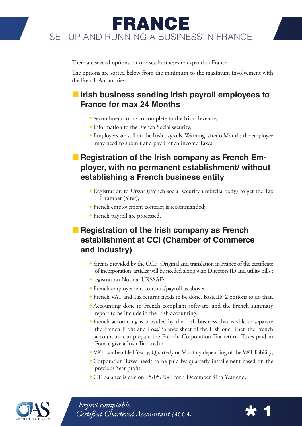## FRANCE SET UP AND RUNNING A BUSINESS IN FRANCE

There are several options for oversea busineses to expand in France.

The options are sorted below from the minimum to the maximum involvement with the French Authorities.

## **I** Irish business sending Irish payroll employees to **France for max 24 Months**

- Secondment forms to complete to the Irish Revenue;
- Information to the French Social security;
- Employees are still on the Irish payrolls. Warning, after 6 Months the employee may need to submit and pay French income Taxes.

## **Registration of the Irish company as French Employer, with no permanent establishment/ without establishing a French business entity**

- Registration to Urssaf (French social security umbrella body) to get the Tax ID number (Siret);
- French employement contract is recommanded;
- French payroll are processed.

## **Registration of the Irish company as French establishment at CCI (Chamber of Commerce and Industry)**

- Siret is provided by the CCI: Original and translation in France of the certificate of incorporation, articles will be needed along with Directors ID and utility bills ;
- registration Normal URSSAF;
- French employement contract/payroll as above;
- French VAT and Tax returns needs to be done. Basically 2 options to do that,
- Accounting done in French compliant software, and the French summary report to be include in the Irish accounting;
- French accounting is provided by the Irish business that is able to separate the French Profit and Loss/Balance sheet of the Irish one. Then the French accountant can prepare the French, Corporation Tax return. Taxes paid in France give a Irish Tax credit;
- VAT can ben filed Yearly, Quarterly or Monthly depending of the VAT liability;
- Corporation Taxes needs to be paid by quarterly installement based on the previous Year profit;
- CT Balance is due on 15/05/N+1 for a December 31th Year end.



**1** *Expert comptable*<br> *Certified Chartered Accountant (ACCA)* 

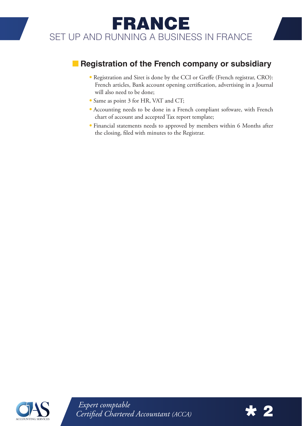# FRANCE SET UP AND RUNNING A BUSINESS IN FRANCE

## **Registration of the French company or subsidiary**

- Registration and Siret is done by the CCI or Greffe (French registrar, CRO): French articles, Bank account opening certification, advertising in a Journal will also need to be done;
- Same as point 3 for HR, VAT and CT;
- Accounting needs to be done in a French compliant software, with French chart of account and accepted Tax report template;
- Financial statements needs to approved by members within 6 Months after the closing, filed with minutes to the Registrar.



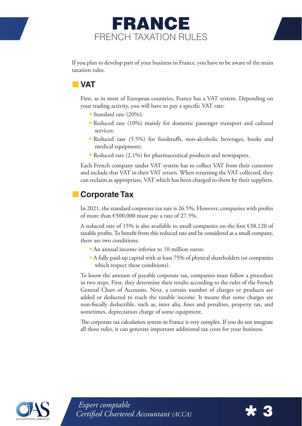

If you plan to develop part of your business in France, you have to be aware of the main taxation rules.

#### **N** VAT

First, as in most of European countries, France has a VAT system. Depending on your trading activity, you will have to pay a specific VAT rate:

- Standard rate (20%);
- Reduced rate (10%) mainly for domestic passenger transport and cultural services;
- Reduced rate (5.5%) for foodstuffs, non-alcoholic beverages, books and medical equipment;
- Reduced rate (2.1%) for pharmaceutical products and newspapers.

Each French company under VAT system has to collect VAT from their customer and include that VAT in their VAT return. When returning the VAT collected, they can reclaim as appropriate, VAT which has been charged to them by their suppliers.

## **Corporate Tax**

In 2021, the standard corporate tax rate is 26.5%. However, companies with profits of more than €500,000 must pay a rate of 27.5%.

A reduced rate of 15% is also available to small companies on the first  $\epsilon$ 38,120 of taxable profits. To benefit from this reduced rate and be considered as a small company, there are two conditions:

- An annual income inferior to 10 million euros;
- A fully paid-up capital with at least 75% of physical shareholders (or companies which respect these conditions).

To know the amount of payable corporate tax, companies must follow a procedure in two steps. First, they determine their results according to the rules of the French General Chart of Accounts. Next, a certain number of charges or products are added or deducted to reach the taxable income. It means that some charges are non-fiscally deductible, such as, inter alia, fines and penalties, property tax, and sometimes, depreciation charge of some equipment.

The corporate tax calculation system in France is very complex. If you do not integrate all these rules, it can generate important additional tax costs for your business.



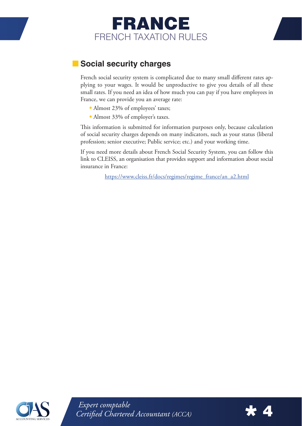

## **Social security charges**

French social security system is complicated due to many small different rates applying to your wages. It would be unproductive to give you details of all these small rates. If you need an idea of how much you can pay if you have employees in France, we can provide you an average rate:

- Almost 23% of employees' taxes;
- Almost 33% of employer's taxes.

This information is submitted for information purposes only, because calculation of social security charges depends on many indicators, such as your status (liberal profession; senior executive; Public service; etc.) and your working time.

If you need more details about French Social Security System, you can follow this link to CLEISS, an organisation that provides support and information about social insurance in France:

[https://www.cleiss.fr/docs/regimes/regime\\_france/an\\_a2.html](https://www.cleiss.fr/docs/regimes/regime_france/an_a2.html )



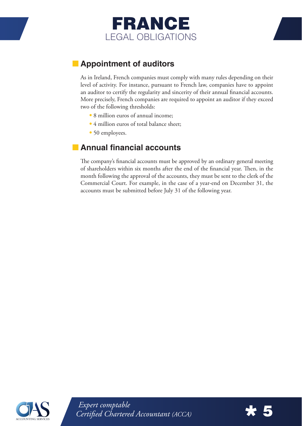

## **Appointment of auditors**

As in Ireland, French companies must comply with many rules depending on their level of activity. For instance, pursuant to French law, companies have to appoint an auditor to certify the regularity and sincerity of their annual financial accounts. More precisely, French companies are required to appoint an auditor if they exceed two of the following thresholds:

- 8 million euros of annual income;
- 4 million euros of total balance sheet;
- 50 employees.

#### **Annual financial accounts**

The company's financial accounts must be approved by an ordinary general meeting of shareholders within six months after the end of the financial year. Then, in the month following the approval of the accounts, they must be sent to the clerk of the Commercial Court. For example, in the case of a year-end on December 31, the accounts must be submitted before July 31 of the following year.